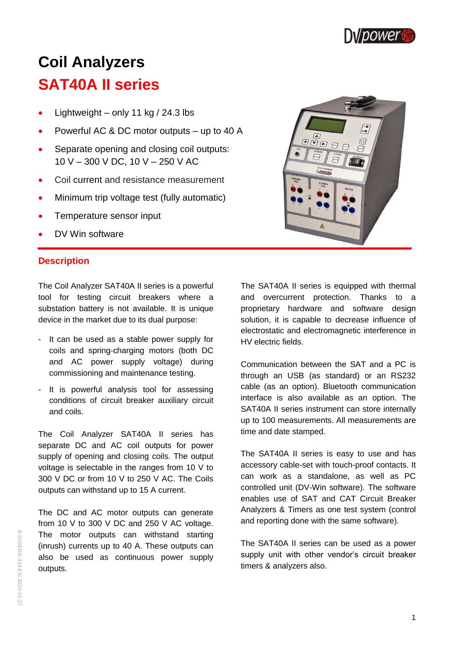

# **Coil Analyzers SAT40A II series**

- Lightweight only 11 kg / 24.3 lbs
- Powerful AC & DC motor outputs up to 40 A
- Separate opening and closing coil outputs: 10 V – 300 V DC, 10 V – 250 V AC
- Coil current and resistance measurement
- Minimum trip voltage test (fully automatic)
- Temperature sensor input
- DV Win software

# **Description**

The Coil Analyzer SAT40A II series is a powerful tool for testing circuit breakers where a substation battery is not available. It is unique device in the market due to its dual purpose:

- It can be used as a stable power supply for coils and spring-charging motors (both DC and AC power supply voltage) during commissioning and maintenance testing.
- It is powerful analysis tool for assessing conditions of circuit breaker auxiliary circuit and coils.

The Coil Analyzer SAT40A II series has separate DC and AC coil outputs for power supply of opening and closing coils. The output voltage is selectable in the ranges from 10 V to 300 V DC or from 10 V to 250 V AC. The Coils outputs can withstand up to 15 A current.

The DC and AC motor outputs can generate from 10 V to 300 V DC and 250 V AC voltage. The motor outputs can withstand starting (inrush) currents up to 40 A. These outputs can also be used as continuous power supply outputs.

The SAT40A II series is equipped with thermal and overcurrent protection. Thanks to a proprietary hardware and software design solution, it is capable to decrease influence of electrostatic and electromagnetic interference in HV electric fields.

Communication between the SAT and a PC is through an USB (as standard) or an RS232 cable (as an option). Bluetooth communication interface is also available as an option. The SAT40A II series instrument can store internally up to 100 measurements. All measurements are time and date stamped.

The SAT40A II series is easy to use and has accessory cable-set with touch-proof contacts. It can work as a standalone, as well as PC controlled unit (DV-Win software). The software enables use of SAT and CAT Circuit Breaker Analyzers & Timers as one test system (control and reporting done with the same software).

The SAT40A II series can be used as a power supply unit with other vendor's circuit breaker timers & analyzers also.

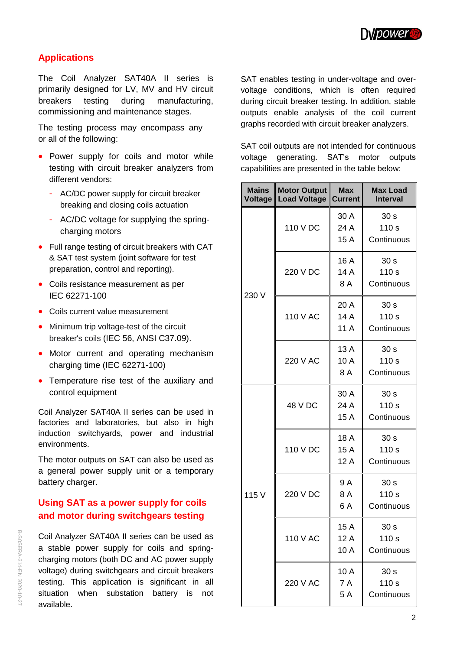# **Applications**

The Coil Analyzer SAT40A II series is primarily designed for LV, MV and HV circuit breakers testing during manufacturing, commissioning and maintenance stages.

The testing process may encompass any or all of the following:

- Power supply for coils and motor while testing with circuit breaker analyzers from different vendors:
	- AC/DC power supply for circuit breaker breaking and closing coils actuation
	- AC/DC voltage for supplying the springcharging motors
- Full range testing of circuit breakers with CAT & SAT test system (joint software for test preparation, control and reporting).
- Coils resistance measurement as per IEC 62271-100
- Coils current value measurement
- Minimum trip voltage-test of the circuit breaker's coils (IEC 56, ANSI C37.09).
- Motor current and operating mechanism charging time (IEC 62271-100)
- Temperature rise test of the auxiliary and control equipment

Coil Analyzer SAT40A II series can be used in factories and laboratories, but also in high induction switchyards, power and industrial environments.

The motor outputs on SAT can also be used as a general power supply unit or a temporary battery charger.

# **Using SAT as a power supply for coils and motor during switchgears testing**

Coil Analyzer SAT40A II series can be used as a stable power supply for coils and springcharging motors (both DC and AC power supply voltage) during switchgears and circuit breakers testing. This application is significant in all situation when substation battery is not available.

SAT enables testing in under-voltage and overvoltage conditions, which is often required during circuit breaker testing. In addition, stable outputs enable analysis of the coil current graphs recorded with circuit breaker analyzers.

SAT coil outputs are not intended for continuous voltage generating. SAT's motor outputs capabilities are presented in the table below:

| <b>Mains</b><br>Voltage | <b>Motor Output</b><br><b>Load Voltage</b> | <b>Max</b><br><b>Current</b> | <b>Max Load</b><br><b>Interval</b>                |
|-------------------------|--------------------------------------------|------------------------------|---------------------------------------------------|
|                         | 110 V DC                                   | 30 A<br>24 A<br>15A          | 30 <sub>s</sub><br>110 s<br>Continuous            |
|                         | 220 V DC                                   | 16 A<br>14A<br>8 A           | 30 <sub>s</sub><br>110s<br>Continuous             |
| 230 V                   | 110 V AC                                   | 20 A<br>14 A<br>11 A         | 30 <sub>s</sub><br>110s<br>Continuous             |
|                         | 220 V AC                                   | 13 A<br>10A<br>8 A           | 30 <sub>s</sub><br>110 <sub>s</sub><br>Continuous |
| 115 V                   | 48 V DC                                    | 30 A<br>24 A<br>15A          | 30 <sub>s</sub><br>110s<br>Continuous             |
|                         | 110 V DC                                   | 18 A<br>15A<br>12 A          | 30 <sub>s</sub><br>110 s<br>Continuous            |
|                         | 220 V DC                                   | 9 A<br>8 A<br>6 A            | 30 <sub>s</sub><br>110 s<br>Continuous            |
|                         | 110 V AC                                   | 15 A<br>12 A<br>10 A         | 30 s<br>110 s<br>Continuous                       |
|                         | 220 V AC                                   | 10 A<br>7 A<br>5A            | 30 <sub>s</sub><br>110s<br>Continuous             |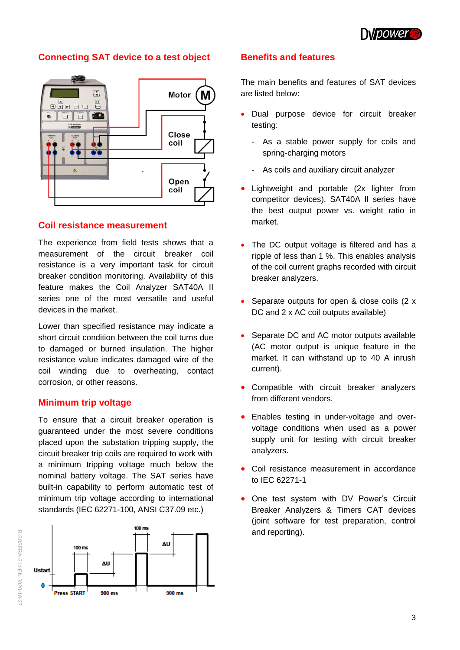# **Connecting SAT device to a test object**



# **Coil resistance measurement**

The experience from field tests shows that a measurement of the circuit breaker coil resistance is a very important task for circuit breaker condition monitoring. Availability of this feature makes the Coil Analyzer SAT40A II series one of the most versatile and useful devices in the market.

Lower than specified resistance may indicate a short circuit condition between the coil turns due to damaged or burned insulation. The higher resistance value indicates damaged wire of the coil winding due to overheating, contact corrosion, or other reasons.

# **Minimum trip voltage**

To ensure that a circuit breaker operation is guaranteed under the most severe conditions placed upon the substation tripping supply, the circuit breaker trip coils are required to work with a minimum tripping voltage much below the nominal battery voltage. The SAT series have built-in capability to perform automatic test of minimum trip voltage according to international standards (IEC 62271-100, ANSI C37.09 etc.)



### **Benefits and features**

The main benefits and features of SAT devices are listed below:

- Dual purpose device for circuit breaker testing:
	- As a stable power supply for coils and spring-charging motors
	- As coils and auxiliary circuit analyzer
- Lightweight and portable (2x lighter from competitor devices). SAT40A II series have the best output power vs. weight ratio in market.
- The DC output voltage is filtered and has a ripple of less than 1 %. This enables analysis of the coil current graphs recorded with circuit breaker analyzers.
- Separate outputs for open & close coils (2 x DC and 2 x AC coil outputs available)
- Separate DC and AC motor outputs available (AC motor output is unique feature in the market. It can withstand up to 40 A inrush current).
- Compatible with circuit breaker analyzers from different vendors.
- Enables testing in under-voltage and overvoltage conditions when used as a power supply unit for testing with circuit breaker analyzers.
- Coil resistance measurement in accordance to IEC 62271-1
- One test system with DV Power's Circuit Breaker Analyzers & Timers CAT devices (joint software for test preparation, control and reporting).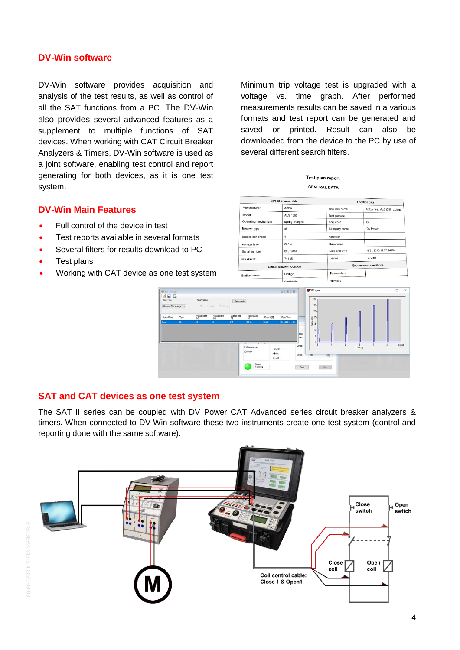# **DV-Win software**

DV-Win software provides acquisition and analysis of the test results, as well as control of all the SAT functions from a PC. The DV-Win also provides several advanced features as a supplement to multiple functions of SAT devices. When working with CAT Circuit Breaker Analyzers & Timers, DV-Win software is used as a joint software, enabling test control and report generating for both devices, as it is one test system.

Minimum trip voltage test is upgraded with a voltage vs. time graph. After performed measurements results can be saved in a various formats and test report can be generated and saved or printed. Result can also be downloaded from the device to the PC by use of several different search filters.

#### Test plan report **GENERAL DATA**

| Circuit breaker data            |                |                     | <b>Location</b> data          |  |
|---------------------------------|----------------|---------------------|-------------------------------|--|
| Manufacturer                    | ASEA           | Test plan name      | ASEA_test_ALG1250_Lidingo_    |  |
| Model                           | ALG 1250       | <b>Test purpose</b> |                               |  |
| Operating mechanism             | spring-charged | Sequence            | $\Omega$                      |  |
| Breaker type                    | air            | Company name        | DV Power                      |  |
| Breaks per phase                |                | Operator            |                               |  |
| Voltage level                   | 600 V          | Supervisor          |                               |  |
| Serial number                   | 09873456       | Date and time       | 8/21/2015 12:57:24 PM         |  |
| Breaker ID                      | 74185          | Device              | CAT66                         |  |
| <b>Circuit breaker location</b> |                |                     | <b>Environment conditions</b> |  |
| Station name                    | Lidingo        | Temperature         |                               |  |
|                                 |                | <b>Llumidity</b>    |                               |  |

# **DV-Win Main Features**

- Full control of the device in test
- Test reports available in several formats
- Several filters for results download to PC
- Test plans
- Working with CAT device as one test system



# **SAT and CAT devices as one test system**

The SAT II series can be coupled with DV Power CAT Advanced series circuit breaker analyzers & timers. When connected to DV-Win software these two instruments create one test system (control and reporting done with the same software).

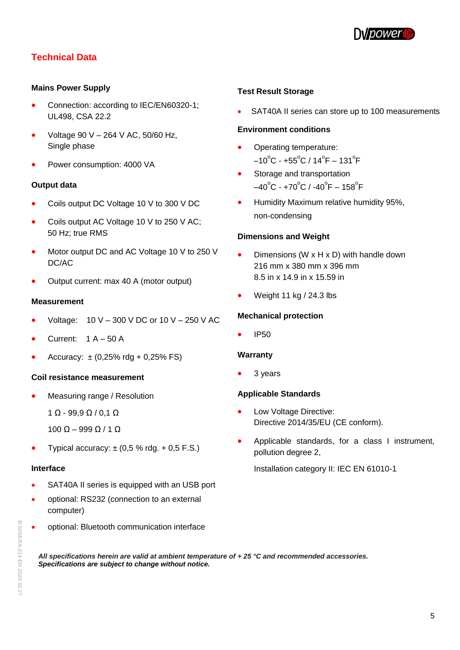

# **Technical Data**

#### **Mains Power Supply**

- Connection: according to IEC/EN60320-1; UL498, CSA 22.2
- Voltage 90 V 264 V AC, 50/60 Hz, Single phase
- Power consumption: 4000 VA

#### **Output data**

- Coils output DC Voltage 10 V to 300 V DC
- Coils output AC Voltage 10 V to 250 V AC; 50 Hz; true RMS
- Motor output DC and AC Voltage 10 V to 250 V DC/AC
- Output current: max 40 A (motor output)

#### **Measurement**

- Voltage:  $10 V 300 V$  DC or  $10 V 250 V$  AC
- Current:  $1 A 50 A$
- Accuracy:  $\pm (0.25\% \text{ rdg} + 0.25\% \text{ FS})$

#### **Coil resistance measurement**

• Measuring range / Resolution

1 Ω - 99,9 Ω / 0,1 Ω

- $1000 9990110$
- Typical accuracy:  $\pm$  (0,5 % rdg.  $+$  0,5 F.S.)

#### **Interface**

- SAT40A II series is equipped with an USB port
- optional: RS232 (connection to an external computer)
- optional: Bluetooth communication interface

#### **Test Result Storage**

SAT40A II series can store up to 100 measurements

#### **Environment conditions**

- Operating temperature:
	- $-10^{\circ}$ C +55 $^{\circ}$ C / 14 $^{\circ}$ F  $-$  131 $^{\circ}$ F
- Storage and transportation  $-40^{\circ}$ C - +70 $^{\circ}$ C / -40 $^{\circ}$ F  $-$  158 $^{\circ}$ F
- Humidity Maximum relative humidity 95%, non-condensing

#### **Dimensions and Weight**

- Dimensions (W x H x D) with handle down 216 mm x 380 mm x 396 mm 8.5 in x 14.9 in x 15.59 in
- Weight 11 kg / 24.3 lbs

#### **Mechanical protection**

IP50

#### **Warranty**

3 years

#### **Applicable Standards**

- Low Voltage Directive: Directive 2014/35/EU (CE conform).
- Applicable standards, for a class I instrument, pollution degree 2,

Installation category II: IEC EN 61010-1

*All specifications herein are valid at ambient temperature of + 25 °C and recommended accessories. Specifications are subject to change without notice.*